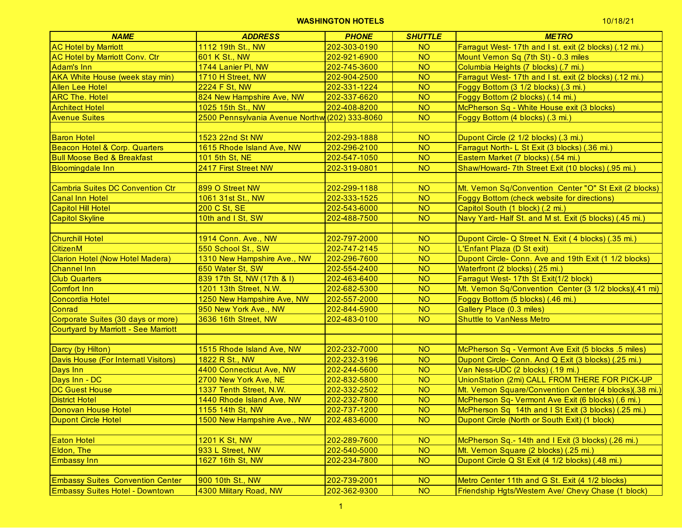| 1112 19th St., NW<br>202-303-0190<br>Farragut West- 17th and I st. exit (2 blocks) (.12 mi.)<br><b>NO</b><br><b>NO</b><br>601 K St., NW<br>202-921-6900<br>Mount Vernon Sq (7th St) - 0.3 miles<br><b>NO</b><br>1744 Lanier PI, NW<br>202-745-3600<br>Columbia Heights (7 blocks) (.7 mi.)<br><b>NO</b><br>1710 H Street, NW<br>202-904-2500<br>Farragut West- 17th and I st. exit (2 blocks) (.12 mi.)<br><b>2224 F St, NW</b><br><b>NO</b><br>202-331-1224<br>Foggy Bottom (3 1/2 blocks) (.3 mi.)<br><b>NO</b><br>824 New Hampshire Ave, NW<br>202-337-6620<br>Foggy Bottom (2 blocks) (.14 mi.)<br>1025 15th St., NW<br><b>NO</b><br>McPherson Sq - White House exit (3 blocks)<br>202-408-8200<br>2500 Pennsylvania Avenue Northw (202) 333-8060<br><b>NO</b><br>Foggy Bottom (4 blocks) (.3 mi.)<br>1523 22nd St NW<br>202-293-1888<br><b>NO</b><br>Dupont Circle (2 1/2 blocks) (.3 mi.)<br>1615 Rhode Island Ave, NW<br>202-296-2100<br><b>NO</b><br>Farragut North- L St Exit (3 blocks) (.36 mi.)<br><b>NO</b><br>101 5th St, NE<br>202-547-1050<br>Eastern Market (7 blocks) (.54 mi.)<br>2417 First Street NW<br>202-319-0801<br><b>NO</b><br>Shaw/Howard-7th Street Exit (10 blocks) (.95 mi.)<br>899 O Street NW<br>Mt. Vernon Sq/Convention Center "O" St Exit (2 blocks)<br><b>Cambria Suites DC Convention Ctr</b><br>202-299-1188<br><b>NO</b><br>202-333-1525<br><b>NO</b><br><b>Foggy Bottom (check website for directions)</b><br><b>Canal Inn Hotel</b><br>1061 31st St., NW<br><b>NO</b><br>200 C St, SE<br>Capitol South (1 block) (.2 mi.)<br><b>Capitol Hill Hotel</b><br>202-543-6000<br><b>NO</b><br>10th and I St, SW<br>Navy Yard- Half St. and M st. Exit (5 blocks) (.45 mi.)<br><b>Capitol Skyline</b><br>202-488-7500<br><b>Churchill Hotel</b><br>1914 Conn. Ave., NW<br>202-797-2000<br><b>NO</b><br>Dupont Circle- Q Street N. Exit (4 blocks) (.35 mi.)<br>550 School St., SW<br><b>NO</b><br><b>CitizenM</b><br>202-747-2145<br>L'Enfant Plaza (D St exit)<br>Clarion Hotel (Now Hotel Madera)<br><b>NO</b><br>1310 New Hampshire Ave., NW<br>202-296-7600<br>Dupont Circle- Conn. Ave and 19th Exit (1 1/2 blocks)<br><b>NO</b><br>650 Water St, SW<br>202-554-2400<br><b>Channel Inn</b><br>Waterfront (2 blocks) (.25 mi.)<br><b>NO</b><br><b>Club Quarters</b><br>839 17th St, NW (17th & I)<br>202-463-6400<br>Farragut West- 17th St Exit(1/2 block)<br><b>NO</b><br>Comfort Inn<br>1201 13th Street, N.W.<br>202-682-5300<br>Mt. Vemon Sq/Convention Center (3 1/2 blocks)(.41 mi)<br>1250 New Hampshire Ave, NW<br><b>NO</b><br>Foggy Bottom (5 blocks) (.46 mi.)<br>Concordia Hotel<br>202-557-2000<br><b>NO</b><br>Conrad<br>950 New York Ave., NW<br>202-844-5900<br>Gallery Place (0.3 miles)<br>Corporate Suites (30 days or more)<br>3636 16th Street, NW<br>202-483-0100<br><b>NO</b><br><b>Shuttle to VanNess Metro</b><br><b>Courtyard by Marriott - See Marriott</b><br>Darcy (by Hilton)<br>202-232-7000<br><b>NO</b><br>1515 Rhode Island Ave, NW<br>McPherson Sq - Vermont Ave Exit (5 blocks .5 miles)<br>Davis House (For Internatl Visitors)<br>1822 R St., NW<br><b>NO</b><br>202-232-3196<br>Dupont Circle- Conn. And Q Exit (3 blocks) (.25 mi.)<br>4400 Connecticut Ave, NW<br>202-244-5600<br><b>NO</b><br>Van Ness-UDC (2 blocks) (.19 mi.)<br>Days Inn<br>Days Inn - DC<br><b>NO</b><br>UnionStation (2mi) CALL FROM THERE FOR PICK-UP<br>2700 New York Ave, NE<br>202-832-5800<br>202-332-2502<br><b>NO</b><br><b>DC Guest House</b><br>1337 Tenth Street, N.W.<br>Mt. Vernon Square/Convention Center (4 blocks)(.38 mi.)<br><b>District Hotel</b><br>202-232-7800<br><b>NO</b><br>1440 Rhode Island Ave, NW<br>McPherson Sq- Vermont Ave Exit (6 blocks) (.6 mi.)<br>Donovan House Hotel<br><b>NO</b><br>202-737-1200<br>1155 14th St, NW<br>McPherson Sq 14th and I St Exit (3 blocks) (.25 mi.)<br>1500 New Hampshire Ave., NW<br>202.483-6000<br><b>Dupont Circle Hotel</b><br>NO <sub>1</sub><br>Dupont Circle (North or South Exit) (1 block)<br>202-289-7600<br><b>Eaton Hotel</b><br>1201 K St, NW<br><b>NO</b><br>McPherson Sq.-14th and I Exit (3 blocks) (.26 mi.)<br>933 L Street, NW<br>202-540-5000<br>Eldon, The<br><b>NO</b><br>Mt. Vernon Square (2 blocks) (.25 mi.)<br>1627 16th St, NW<br>202-234-7800<br><b>NO</b><br>Dupont Circle Q St Exit (4 1/2 blocks) (.48 mi.)<br><b>Embassy Inn</b> | <b>NAME</b>                             | <b>ADDRESS</b> | <b>PHONE</b> | <b>SHUTTLE</b> | <b>METRO</b> |
|-------------------------------------------------------------------------------------------------------------------------------------------------------------------------------------------------------------------------------------------------------------------------------------------------------------------------------------------------------------------------------------------------------------------------------------------------------------------------------------------------------------------------------------------------------------------------------------------------------------------------------------------------------------------------------------------------------------------------------------------------------------------------------------------------------------------------------------------------------------------------------------------------------------------------------------------------------------------------------------------------------------------------------------------------------------------------------------------------------------------------------------------------------------------------------------------------------------------------------------------------------------------------------------------------------------------------------------------------------------------------------------------------------------------------------------------------------------------------------------------------------------------------------------------------------------------------------------------------------------------------------------------------------------------------------------------------------------------------------------------------------------------------------------------------------------------------------------------------------------------------------------------------------------------------------------------------------------------------------------------------------------------------------------------------------------------------------------------------------------------------------------------------------------------------------------------------------------------------------------------------------------------------------------------------------------------------------------------------------------------------------------------------------------------------------------------------------------------------------------------------------------------------------------------------------------------------------------------------------------------------------------------------------------------------------------------------------------------------------------------------------------------------------------------------------------------------------------------------------------------------------------------------------------------------------------------------------------------------------------------------------------------------------------------------------------------------------------------------------------------------------------------------------------------------------------------------------------------------------------------------------------------------------------------------------------------------------------------------------------------------------------------------------------------------------------------------------------------------------------------------------------------------------------------------------------------------------------------------------------------------------------------------------------------------------------------------------------------------------------------------------------------------------------------------------------------------------------------------------------------------------------------------------------------------------------------------------------------------------------------------------------------------------------------------------------------------------------------------------------------------------------------------------------------------------------------------------------------------------------------------------------------------------------------------------------------------------------------------------------------------------------------|-----------------------------------------|----------------|--------------|----------------|--------------|
|                                                                                                                                                                                                                                                                                                                                                                                                                                                                                                                                                                                                                                                                                                                                                                                                                                                                                                                                                                                                                                                                                                                                                                                                                                                                                                                                                                                                                                                                                                                                                                                                                                                                                                                                                                                                                                                                                                                                                                                                                                                                                                                                                                                                                                                                                                                                                                                                                                                                                                                                                                                                                                                                                                                                                                                                                                                                                                                                                                                                                                                                                                                                                                                                                                                                                                                                                                                                                                                                                                                                                                                                                                                                                                                                                                                                                                                                                                                                                                                                                                                                                                                                                                                                                                                                                                                                                                                           | <b>AC Hotel by Marriott</b>             |                |              |                |              |
|                                                                                                                                                                                                                                                                                                                                                                                                                                                                                                                                                                                                                                                                                                                                                                                                                                                                                                                                                                                                                                                                                                                                                                                                                                                                                                                                                                                                                                                                                                                                                                                                                                                                                                                                                                                                                                                                                                                                                                                                                                                                                                                                                                                                                                                                                                                                                                                                                                                                                                                                                                                                                                                                                                                                                                                                                                                                                                                                                                                                                                                                                                                                                                                                                                                                                                                                                                                                                                                                                                                                                                                                                                                                                                                                                                                                                                                                                                                                                                                                                                                                                                                                                                                                                                                                                                                                                                                           | <b>AC Hotel by Marriott Conv. Ctr</b>   |                |              |                |              |
|                                                                                                                                                                                                                                                                                                                                                                                                                                                                                                                                                                                                                                                                                                                                                                                                                                                                                                                                                                                                                                                                                                                                                                                                                                                                                                                                                                                                                                                                                                                                                                                                                                                                                                                                                                                                                                                                                                                                                                                                                                                                                                                                                                                                                                                                                                                                                                                                                                                                                                                                                                                                                                                                                                                                                                                                                                                                                                                                                                                                                                                                                                                                                                                                                                                                                                                                                                                                                                                                                                                                                                                                                                                                                                                                                                                                                                                                                                                                                                                                                                                                                                                                                                                                                                                                                                                                                                                           | Adam's Inn                              |                |              |                |              |
|                                                                                                                                                                                                                                                                                                                                                                                                                                                                                                                                                                                                                                                                                                                                                                                                                                                                                                                                                                                                                                                                                                                                                                                                                                                                                                                                                                                                                                                                                                                                                                                                                                                                                                                                                                                                                                                                                                                                                                                                                                                                                                                                                                                                                                                                                                                                                                                                                                                                                                                                                                                                                                                                                                                                                                                                                                                                                                                                                                                                                                                                                                                                                                                                                                                                                                                                                                                                                                                                                                                                                                                                                                                                                                                                                                                                                                                                                                                                                                                                                                                                                                                                                                                                                                                                                                                                                                                           | <b>AKA White House (week stay min)</b>  |                |              |                |              |
|                                                                                                                                                                                                                                                                                                                                                                                                                                                                                                                                                                                                                                                                                                                                                                                                                                                                                                                                                                                                                                                                                                                                                                                                                                                                                                                                                                                                                                                                                                                                                                                                                                                                                                                                                                                                                                                                                                                                                                                                                                                                                                                                                                                                                                                                                                                                                                                                                                                                                                                                                                                                                                                                                                                                                                                                                                                                                                                                                                                                                                                                                                                                                                                                                                                                                                                                                                                                                                                                                                                                                                                                                                                                                                                                                                                                                                                                                                                                                                                                                                                                                                                                                                                                                                                                                                                                                                                           | <b>Allen Lee Hotel</b>                  |                |              |                |              |
|                                                                                                                                                                                                                                                                                                                                                                                                                                                                                                                                                                                                                                                                                                                                                                                                                                                                                                                                                                                                                                                                                                                                                                                                                                                                                                                                                                                                                                                                                                                                                                                                                                                                                                                                                                                                                                                                                                                                                                                                                                                                                                                                                                                                                                                                                                                                                                                                                                                                                                                                                                                                                                                                                                                                                                                                                                                                                                                                                                                                                                                                                                                                                                                                                                                                                                                                                                                                                                                                                                                                                                                                                                                                                                                                                                                                                                                                                                                                                                                                                                                                                                                                                                                                                                                                                                                                                                                           | <b>ARC The. Hotel</b>                   |                |              |                |              |
|                                                                                                                                                                                                                                                                                                                                                                                                                                                                                                                                                                                                                                                                                                                                                                                                                                                                                                                                                                                                                                                                                                                                                                                                                                                                                                                                                                                                                                                                                                                                                                                                                                                                                                                                                                                                                                                                                                                                                                                                                                                                                                                                                                                                                                                                                                                                                                                                                                                                                                                                                                                                                                                                                                                                                                                                                                                                                                                                                                                                                                                                                                                                                                                                                                                                                                                                                                                                                                                                                                                                                                                                                                                                                                                                                                                                                                                                                                                                                                                                                                                                                                                                                                                                                                                                                                                                                                                           | <b>Architect Hotel</b>                  |                |              |                |              |
|                                                                                                                                                                                                                                                                                                                                                                                                                                                                                                                                                                                                                                                                                                                                                                                                                                                                                                                                                                                                                                                                                                                                                                                                                                                                                                                                                                                                                                                                                                                                                                                                                                                                                                                                                                                                                                                                                                                                                                                                                                                                                                                                                                                                                                                                                                                                                                                                                                                                                                                                                                                                                                                                                                                                                                                                                                                                                                                                                                                                                                                                                                                                                                                                                                                                                                                                                                                                                                                                                                                                                                                                                                                                                                                                                                                                                                                                                                                                                                                                                                                                                                                                                                                                                                                                                                                                                                                           | <b>Avenue Suites</b>                    |                |              |                |              |
|                                                                                                                                                                                                                                                                                                                                                                                                                                                                                                                                                                                                                                                                                                                                                                                                                                                                                                                                                                                                                                                                                                                                                                                                                                                                                                                                                                                                                                                                                                                                                                                                                                                                                                                                                                                                                                                                                                                                                                                                                                                                                                                                                                                                                                                                                                                                                                                                                                                                                                                                                                                                                                                                                                                                                                                                                                                                                                                                                                                                                                                                                                                                                                                                                                                                                                                                                                                                                                                                                                                                                                                                                                                                                                                                                                                                                                                                                                                                                                                                                                                                                                                                                                                                                                                                                                                                                                                           |                                         |                |              |                |              |
|                                                                                                                                                                                                                                                                                                                                                                                                                                                                                                                                                                                                                                                                                                                                                                                                                                                                                                                                                                                                                                                                                                                                                                                                                                                                                                                                                                                                                                                                                                                                                                                                                                                                                                                                                                                                                                                                                                                                                                                                                                                                                                                                                                                                                                                                                                                                                                                                                                                                                                                                                                                                                                                                                                                                                                                                                                                                                                                                                                                                                                                                                                                                                                                                                                                                                                                                                                                                                                                                                                                                                                                                                                                                                                                                                                                                                                                                                                                                                                                                                                                                                                                                                                                                                                                                                                                                                                                           | <b>Baron Hotel</b>                      |                |              |                |              |
|                                                                                                                                                                                                                                                                                                                                                                                                                                                                                                                                                                                                                                                                                                                                                                                                                                                                                                                                                                                                                                                                                                                                                                                                                                                                                                                                                                                                                                                                                                                                                                                                                                                                                                                                                                                                                                                                                                                                                                                                                                                                                                                                                                                                                                                                                                                                                                                                                                                                                                                                                                                                                                                                                                                                                                                                                                                                                                                                                                                                                                                                                                                                                                                                                                                                                                                                                                                                                                                                                                                                                                                                                                                                                                                                                                                                                                                                                                                                                                                                                                                                                                                                                                                                                                                                                                                                                                                           | Beacon Hotel & Corp. Quarters           |                |              |                |              |
|                                                                                                                                                                                                                                                                                                                                                                                                                                                                                                                                                                                                                                                                                                                                                                                                                                                                                                                                                                                                                                                                                                                                                                                                                                                                                                                                                                                                                                                                                                                                                                                                                                                                                                                                                                                                                                                                                                                                                                                                                                                                                                                                                                                                                                                                                                                                                                                                                                                                                                                                                                                                                                                                                                                                                                                                                                                                                                                                                                                                                                                                                                                                                                                                                                                                                                                                                                                                                                                                                                                                                                                                                                                                                                                                                                                                                                                                                                                                                                                                                                                                                                                                                                                                                                                                                                                                                                                           | <b>Bull Moose Bed &amp; Breakfast</b>   |                |              |                |              |
|                                                                                                                                                                                                                                                                                                                                                                                                                                                                                                                                                                                                                                                                                                                                                                                                                                                                                                                                                                                                                                                                                                                                                                                                                                                                                                                                                                                                                                                                                                                                                                                                                                                                                                                                                                                                                                                                                                                                                                                                                                                                                                                                                                                                                                                                                                                                                                                                                                                                                                                                                                                                                                                                                                                                                                                                                                                                                                                                                                                                                                                                                                                                                                                                                                                                                                                                                                                                                                                                                                                                                                                                                                                                                                                                                                                                                                                                                                                                                                                                                                                                                                                                                                                                                                                                                                                                                                                           | <b>Bloomingdale Inn</b>                 |                |              |                |              |
|                                                                                                                                                                                                                                                                                                                                                                                                                                                                                                                                                                                                                                                                                                                                                                                                                                                                                                                                                                                                                                                                                                                                                                                                                                                                                                                                                                                                                                                                                                                                                                                                                                                                                                                                                                                                                                                                                                                                                                                                                                                                                                                                                                                                                                                                                                                                                                                                                                                                                                                                                                                                                                                                                                                                                                                                                                                                                                                                                                                                                                                                                                                                                                                                                                                                                                                                                                                                                                                                                                                                                                                                                                                                                                                                                                                                                                                                                                                                                                                                                                                                                                                                                                                                                                                                                                                                                                                           |                                         |                |              |                |              |
|                                                                                                                                                                                                                                                                                                                                                                                                                                                                                                                                                                                                                                                                                                                                                                                                                                                                                                                                                                                                                                                                                                                                                                                                                                                                                                                                                                                                                                                                                                                                                                                                                                                                                                                                                                                                                                                                                                                                                                                                                                                                                                                                                                                                                                                                                                                                                                                                                                                                                                                                                                                                                                                                                                                                                                                                                                                                                                                                                                                                                                                                                                                                                                                                                                                                                                                                                                                                                                                                                                                                                                                                                                                                                                                                                                                                                                                                                                                                                                                                                                                                                                                                                                                                                                                                                                                                                                                           |                                         |                |              |                |              |
|                                                                                                                                                                                                                                                                                                                                                                                                                                                                                                                                                                                                                                                                                                                                                                                                                                                                                                                                                                                                                                                                                                                                                                                                                                                                                                                                                                                                                                                                                                                                                                                                                                                                                                                                                                                                                                                                                                                                                                                                                                                                                                                                                                                                                                                                                                                                                                                                                                                                                                                                                                                                                                                                                                                                                                                                                                                                                                                                                                                                                                                                                                                                                                                                                                                                                                                                                                                                                                                                                                                                                                                                                                                                                                                                                                                                                                                                                                                                                                                                                                                                                                                                                                                                                                                                                                                                                                                           |                                         |                |              |                |              |
|                                                                                                                                                                                                                                                                                                                                                                                                                                                                                                                                                                                                                                                                                                                                                                                                                                                                                                                                                                                                                                                                                                                                                                                                                                                                                                                                                                                                                                                                                                                                                                                                                                                                                                                                                                                                                                                                                                                                                                                                                                                                                                                                                                                                                                                                                                                                                                                                                                                                                                                                                                                                                                                                                                                                                                                                                                                                                                                                                                                                                                                                                                                                                                                                                                                                                                                                                                                                                                                                                                                                                                                                                                                                                                                                                                                                                                                                                                                                                                                                                                                                                                                                                                                                                                                                                                                                                                                           |                                         |                |              |                |              |
|                                                                                                                                                                                                                                                                                                                                                                                                                                                                                                                                                                                                                                                                                                                                                                                                                                                                                                                                                                                                                                                                                                                                                                                                                                                                                                                                                                                                                                                                                                                                                                                                                                                                                                                                                                                                                                                                                                                                                                                                                                                                                                                                                                                                                                                                                                                                                                                                                                                                                                                                                                                                                                                                                                                                                                                                                                                                                                                                                                                                                                                                                                                                                                                                                                                                                                                                                                                                                                                                                                                                                                                                                                                                                                                                                                                                                                                                                                                                                                                                                                                                                                                                                                                                                                                                                                                                                                                           |                                         |                |              |                |              |
|                                                                                                                                                                                                                                                                                                                                                                                                                                                                                                                                                                                                                                                                                                                                                                                                                                                                                                                                                                                                                                                                                                                                                                                                                                                                                                                                                                                                                                                                                                                                                                                                                                                                                                                                                                                                                                                                                                                                                                                                                                                                                                                                                                                                                                                                                                                                                                                                                                                                                                                                                                                                                                                                                                                                                                                                                                                                                                                                                                                                                                                                                                                                                                                                                                                                                                                                                                                                                                                                                                                                                                                                                                                                                                                                                                                                                                                                                                                                                                                                                                                                                                                                                                                                                                                                                                                                                                                           |                                         |                |              |                |              |
|                                                                                                                                                                                                                                                                                                                                                                                                                                                                                                                                                                                                                                                                                                                                                                                                                                                                                                                                                                                                                                                                                                                                                                                                                                                                                                                                                                                                                                                                                                                                                                                                                                                                                                                                                                                                                                                                                                                                                                                                                                                                                                                                                                                                                                                                                                                                                                                                                                                                                                                                                                                                                                                                                                                                                                                                                                                                                                                                                                                                                                                                                                                                                                                                                                                                                                                                                                                                                                                                                                                                                                                                                                                                                                                                                                                                                                                                                                                                                                                                                                                                                                                                                                                                                                                                                                                                                                                           |                                         |                |              |                |              |
|                                                                                                                                                                                                                                                                                                                                                                                                                                                                                                                                                                                                                                                                                                                                                                                                                                                                                                                                                                                                                                                                                                                                                                                                                                                                                                                                                                                                                                                                                                                                                                                                                                                                                                                                                                                                                                                                                                                                                                                                                                                                                                                                                                                                                                                                                                                                                                                                                                                                                                                                                                                                                                                                                                                                                                                                                                                                                                                                                                                                                                                                                                                                                                                                                                                                                                                                                                                                                                                                                                                                                                                                                                                                                                                                                                                                                                                                                                                                                                                                                                                                                                                                                                                                                                                                                                                                                                                           |                                         |                |              |                |              |
|                                                                                                                                                                                                                                                                                                                                                                                                                                                                                                                                                                                                                                                                                                                                                                                                                                                                                                                                                                                                                                                                                                                                                                                                                                                                                                                                                                                                                                                                                                                                                                                                                                                                                                                                                                                                                                                                                                                                                                                                                                                                                                                                                                                                                                                                                                                                                                                                                                                                                                                                                                                                                                                                                                                                                                                                                                                                                                                                                                                                                                                                                                                                                                                                                                                                                                                                                                                                                                                                                                                                                                                                                                                                                                                                                                                                                                                                                                                                                                                                                                                                                                                                                                                                                                                                                                                                                                                           |                                         |                |              |                |              |
|                                                                                                                                                                                                                                                                                                                                                                                                                                                                                                                                                                                                                                                                                                                                                                                                                                                                                                                                                                                                                                                                                                                                                                                                                                                                                                                                                                                                                                                                                                                                                                                                                                                                                                                                                                                                                                                                                                                                                                                                                                                                                                                                                                                                                                                                                                                                                                                                                                                                                                                                                                                                                                                                                                                                                                                                                                                                                                                                                                                                                                                                                                                                                                                                                                                                                                                                                                                                                                                                                                                                                                                                                                                                                                                                                                                                                                                                                                                                                                                                                                                                                                                                                                                                                                                                                                                                                                                           |                                         |                |              |                |              |
|                                                                                                                                                                                                                                                                                                                                                                                                                                                                                                                                                                                                                                                                                                                                                                                                                                                                                                                                                                                                                                                                                                                                                                                                                                                                                                                                                                                                                                                                                                                                                                                                                                                                                                                                                                                                                                                                                                                                                                                                                                                                                                                                                                                                                                                                                                                                                                                                                                                                                                                                                                                                                                                                                                                                                                                                                                                                                                                                                                                                                                                                                                                                                                                                                                                                                                                                                                                                                                                                                                                                                                                                                                                                                                                                                                                                                                                                                                                                                                                                                                                                                                                                                                                                                                                                                                                                                                                           |                                         |                |              |                |              |
|                                                                                                                                                                                                                                                                                                                                                                                                                                                                                                                                                                                                                                                                                                                                                                                                                                                                                                                                                                                                                                                                                                                                                                                                                                                                                                                                                                                                                                                                                                                                                                                                                                                                                                                                                                                                                                                                                                                                                                                                                                                                                                                                                                                                                                                                                                                                                                                                                                                                                                                                                                                                                                                                                                                                                                                                                                                                                                                                                                                                                                                                                                                                                                                                                                                                                                                                                                                                                                                                                                                                                                                                                                                                                                                                                                                                                                                                                                                                                                                                                                                                                                                                                                                                                                                                                                                                                                                           |                                         |                |              |                |              |
|                                                                                                                                                                                                                                                                                                                                                                                                                                                                                                                                                                                                                                                                                                                                                                                                                                                                                                                                                                                                                                                                                                                                                                                                                                                                                                                                                                                                                                                                                                                                                                                                                                                                                                                                                                                                                                                                                                                                                                                                                                                                                                                                                                                                                                                                                                                                                                                                                                                                                                                                                                                                                                                                                                                                                                                                                                                                                                                                                                                                                                                                                                                                                                                                                                                                                                                                                                                                                                                                                                                                                                                                                                                                                                                                                                                                                                                                                                                                                                                                                                                                                                                                                                                                                                                                                                                                                                                           |                                         |                |              |                |              |
|                                                                                                                                                                                                                                                                                                                                                                                                                                                                                                                                                                                                                                                                                                                                                                                                                                                                                                                                                                                                                                                                                                                                                                                                                                                                                                                                                                                                                                                                                                                                                                                                                                                                                                                                                                                                                                                                                                                                                                                                                                                                                                                                                                                                                                                                                                                                                                                                                                                                                                                                                                                                                                                                                                                                                                                                                                                                                                                                                                                                                                                                                                                                                                                                                                                                                                                                                                                                                                                                                                                                                                                                                                                                                                                                                                                                                                                                                                                                                                                                                                                                                                                                                                                                                                                                                                                                                                                           |                                         |                |              |                |              |
|                                                                                                                                                                                                                                                                                                                                                                                                                                                                                                                                                                                                                                                                                                                                                                                                                                                                                                                                                                                                                                                                                                                                                                                                                                                                                                                                                                                                                                                                                                                                                                                                                                                                                                                                                                                                                                                                                                                                                                                                                                                                                                                                                                                                                                                                                                                                                                                                                                                                                                                                                                                                                                                                                                                                                                                                                                                                                                                                                                                                                                                                                                                                                                                                                                                                                                                                                                                                                                                                                                                                                                                                                                                                                                                                                                                                                                                                                                                                                                                                                                                                                                                                                                                                                                                                                                                                                                                           |                                         |                |              |                |              |
|                                                                                                                                                                                                                                                                                                                                                                                                                                                                                                                                                                                                                                                                                                                                                                                                                                                                                                                                                                                                                                                                                                                                                                                                                                                                                                                                                                                                                                                                                                                                                                                                                                                                                                                                                                                                                                                                                                                                                                                                                                                                                                                                                                                                                                                                                                                                                                                                                                                                                                                                                                                                                                                                                                                                                                                                                                                                                                                                                                                                                                                                                                                                                                                                                                                                                                                                                                                                                                                                                                                                                                                                                                                                                                                                                                                                                                                                                                                                                                                                                                                                                                                                                                                                                                                                                                                                                                                           |                                         |                |              |                |              |
|                                                                                                                                                                                                                                                                                                                                                                                                                                                                                                                                                                                                                                                                                                                                                                                                                                                                                                                                                                                                                                                                                                                                                                                                                                                                                                                                                                                                                                                                                                                                                                                                                                                                                                                                                                                                                                                                                                                                                                                                                                                                                                                                                                                                                                                                                                                                                                                                                                                                                                                                                                                                                                                                                                                                                                                                                                                                                                                                                                                                                                                                                                                                                                                                                                                                                                                                                                                                                                                                                                                                                                                                                                                                                                                                                                                                                                                                                                                                                                                                                                                                                                                                                                                                                                                                                                                                                                                           |                                         |                |              |                |              |
|                                                                                                                                                                                                                                                                                                                                                                                                                                                                                                                                                                                                                                                                                                                                                                                                                                                                                                                                                                                                                                                                                                                                                                                                                                                                                                                                                                                                                                                                                                                                                                                                                                                                                                                                                                                                                                                                                                                                                                                                                                                                                                                                                                                                                                                                                                                                                                                                                                                                                                                                                                                                                                                                                                                                                                                                                                                                                                                                                                                                                                                                                                                                                                                                                                                                                                                                                                                                                                                                                                                                                                                                                                                                                                                                                                                                                                                                                                                                                                                                                                                                                                                                                                                                                                                                                                                                                                                           |                                         |                |              |                |              |
|                                                                                                                                                                                                                                                                                                                                                                                                                                                                                                                                                                                                                                                                                                                                                                                                                                                                                                                                                                                                                                                                                                                                                                                                                                                                                                                                                                                                                                                                                                                                                                                                                                                                                                                                                                                                                                                                                                                                                                                                                                                                                                                                                                                                                                                                                                                                                                                                                                                                                                                                                                                                                                                                                                                                                                                                                                                                                                                                                                                                                                                                                                                                                                                                                                                                                                                                                                                                                                                                                                                                                                                                                                                                                                                                                                                                                                                                                                                                                                                                                                                                                                                                                                                                                                                                                                                                                                                           |                                         |                |              |                |              |
|                                                                                                                                                                                                                                                                                                                                                                                                                                                                                                                                                                                                                                                                                                                                                                                                                                                                                                                                                                                                                                                                                                                                                                                                                                                                                                                                                                                                                                                                                                                                                                                                                                                                                                                                                                                                                                                                                                                                                                                                                                                                                                                                                                                                                                                                                                                                                                                                                                                                                                                                                                                                                                                                                                                                                                                                                                                                                                                                                                                                                                                                                                                                                                                                                                                                                                                                                                                                                                                                                                                                                                                                                                                                                                                                                                                                                                                                                                                                                                                                                                                                                                                                                                                                                                                                                                                                                                                           |                                         |                |              |                |              |
|                                                                                                                                                                                                                                                                                                                                                                                                                                                                                                                                                                                                                                                                                                                                                                                                                                                                                                                                                                                                                                                                                                                                                                                                                                                                                                                                                                                                                                                                                                                                                                                                                                                                                                                                                                                                                                                                                                                                                                                                                                                                                                                                                                                                                                                                                                                                                                                                                                                                                                                                                                                                                                                                                                                                                                                                                                                                                                                                                                                                                                                                                                                                                                                                                                                                                                                                                                                                                                                                                                                                                                                                                                                                                                                                                                                                                                                                                                                                                                                                                                                                                                                                                                                                                                                                                                                                                                                           |                                         |                |              |                |              |
|                                                                                                                                                                                                                                                                                                                                                                                                                                                                                                                                                                                                                                                                                                                                                                                                                                                                                                                                                                                                                                                                                                                                                                                                                                                                                                                                                                                                                                                                                                                                                                                                                                                                                                                                                                                                                                                                                                                                                                                                                                                                                                                                                                                                                                                                                                                                                                                                                                                                                                                                                                                                                                                                                                                                                                                                                                                                                                                                                                                                                                                                                                                                                                                                                                                                                                                                                                                                                                                                                                                                                                                                                                                                                                                                                                                                                                                                                                                                                                                                                                                                                                                                                                                                                                                                                                                                                                                           |                                         |                |              |                |              |
|                                                                                                                                                                                                                                                                                                                                                                                                                                                                                                                                                                                                                                                                                                                                                                                                                                                                                                                                                                                                                                                                                                                                                                                                                                                                                                                                                                                                                                                                                                                                                                                                                                                                                                                                                                                                                                                                                                                                                                                                                                                                                                                                                                                                                                                                                                                                                                                                                                                                                                                                                                                                                                                                                                                                                                                                                                                                                                                                                                                                                                                                                                                                                                                                                                                                                                                                                                                                                                                                                                                                                                                                                                                                                                                                                                                                                                                                                                                                                                                                                                                                                                                                                                                                                                                                                                                                                                                           |                                         |                |              |                |              |
|                                                                                                                                                                                                                                                                                                                                                                                                                                                                                                                                                                                                                                                                                                                                                                                                                                                                                                                                                                                                                                                                                                                                                                                                                                                                                                                                                                                                                                                                                                                                                                                                                                                                                                                                                                                                                                                                                                                                                                                                                                                                                                                                                                                                                                                                                                                                                                                                                                                                                                                                                                                                                                                                                                                                                                                                                                                                                                                                                                                                                                                                                                                                                                                                                                                                                                                                                                                                                                                                                                                                                                                                                                                                                                                                                                                                                                                                                                                                                                                                                                                                                                                                                                                                                                                                                                                                                                                           |                                         |                |              |                |              |
|                                                                                                                                                                                                                                                                                                                                                                                                                                                                                                                                                                                                                                                                                                                                                                                                                                                                                                                                                                                                                                                                                                                                                                                                                                                                                                                                                                                                                                                                                                                                                                                                                                                                                                                                                                                                                                                                                                                                                                                                                                                                                                                                                                                                                                                                                                                                                                                                                                                                                                                                                                                                                                                                                                                                                                                                                                                                                                                                                                                                                                                                                                                                                                                                                                                                                                                                                                                                                                                                                                                                                                                                                                                                                                                                                                                                                                                                                                                                                                                                                                                                                                                                                                                                                                                                                                                                                                                           |                                         |                |              |                |              |
|                                                                                                                                                                                                                                                                                                                                                                                                                                                                                                                                                                                                                                                                                                                                                                                                                                                                                                                                                                                                                                                                                                                                                                                                                                                                                                                                                                                                                                                                                                                                                                                                                                                                                                                                                                                                                                                                                                                                                                                                                                                                                                                                                                                                                                                                                                                                                                                                                                                                                                                                                                                                                                                                                                                                                                                                                                                                                                                                                                                                                                                                                                                                                                                                                                                                                                                                                                                                                                                                                                                                                                                                                                                                                                                                                                                                                                                                                                                                                                                                                                                                                                                                                                                                                                                                                                                                                                                           |                                         |                |              |                |              |
|                                                                                                                                                                                                                                                                                                                                                                                                                                                                                                                                                                                                                                                                                                                                                                                                                                                                                                                                                                                                                                                                                                                                                                                                                                                                                                                                                                                                                                                                                                                                                                                                                                                                                                                                                                                                                                                                                                                                                                                                                                                                                                                                                                                                                                                                                                                                                                                                                                                                                                                                                                                                                                                                                                                                                                                                                                                                                                                                                                                                                                                                                                                                                                                                                                                                                                                                                                                                                                                                                                                                                                                                                                                                                                                                                                                                                                                                                                                                                                                                                                                                                                                                                                                                                                                                                                                                                                                           |                                         |                |              |                |              |
|                                                                                                                                                                                                                                                                                                                                                                                                                                                                                                                                                                                                                                                                                                                                                                                                                                                                                                                                                                                                                                                                                                                                                                                                                                                                                                                                                                                                                                                                                                                                                                                                                                                                                                                                                                                                                                                                                                                                                                                                                                                                                                                                                                                                                                                                                                                                                                                                                                                                                                                                                                                                                                                                                                                                                                                                                                                                                                                                                                                                                                                                                                                                                                                                                                                                                                                                                                                                                                                                                                                                                                                                                                                                                                                                                                                                                                                                                                                                                                                                                                                                                                                                                                                                                                                                                                                                                                                           |                                         |                |              |                |              |
|                                                                                                                                                                                                                                                                                                                                                                                                                                                                                                                                                                                                                                                                                                                                                                                                                                                                                                                                                                                                                                                                                                                                                                                                                                                                                                                                                                                                                                                                                                                                                                                                                                                                                                                                                                                                                                                                                                                                                                                                                                                                                                                                                                                                                                                                                                                                                                                                                                                                                                                                                                                                                                                                                                                                                                                                                                                                                                                                                                                                                                                                                                                                                                                                                                                                                                                                                                                                                                                                                                                                                                                                                                                                                                                                                                                                                                                                                                                                                                                                                                                                                                                                                                                                                                                                                                                                                                                           |                                         |                |              |                |              |
|                                                                                                                                                                                                                                                                                                                                                                                                                                                                                                                                                                                                                                                                                                                                                                                                                                                                                                                                                                                                                                                                                                                                                                                                                                                                                                                                                                                                                                                                                                                                                                                                                                                                                                                                                                                                                                                                                                                                                                                                                                                                                                                                                                                                                                                                                                                                                                                                                                                                                                                                                                                                                                                                                                                                                                                                                                                                                                                                                                                                                                                                                                                                                                                                                                                                                                                                                                                                                                                                                                                                                                                                                                                                                                                                                                                                                                                                                                                                                                                                                                                                                                                                                                                                                                                                                                                                                                                           |                                         |                |              |                |              |
| 900 10th St., NW<br>202-739-2001<br><b>NO</b><br>Metro Center 11th and G St. Exit (4 1/2 blocks)                                                                                                                                                                                                                                                                                                                                                                                                                                                                                                                                                                                                                                                                                                                                                                                                                                                                                                                                                                                                                                                                                                                                                                                                                                                                                                                                                                                                                                                                                                                                                                                                                                                                                                                                                                                                                                                                                                                                                                                                                                                                                                                                                                                                                                                                                                                                                                                                                                                                                                                                                                                                                                                                                                                                                                                                                                                                                                                                                                                                                                                                                                                                                                                                                                                                                                                                                                                                                                                                                                                                                                                                                                                                                                                                                                                                                                                                                                                                                                                                                                                                                                                                                                                                                                                                                          | <b>Embassy Suites Convention Center</b> |                |              |                |              |
| 4300 Military Road, NW<br>202-362-9300<br><b>NO</b><br>Friendship Hgts/Western Ave/ Chevy Chase (1 block)                                                                                                                                                                                                                                                                                                                                                                                                                                                                                                                                                                                                                                                                                                                                                                                                                                                                                                                                                                                                                                                                                                                                                                                                                                                                                                                                                                                                                                                                                                                                                                                                                                                                                                                                                                                                                                                                                                                                                                                                                                                                                                                                                                                                                                                                                                                                                                                                                                                                                                                                                                                                                                                                                                                                                                                                                                                                                                                                                                                                                                                                                                                                                                                                                                                                                                                                                                                                                                                                                                                                                                                                                                                                                                                                                                                                                                                                                                                                                                                                                                                                                                                                                                                                                                                                                 | <b>Embassy Suites Hotel - Downtown</b>  |                |              |                |              |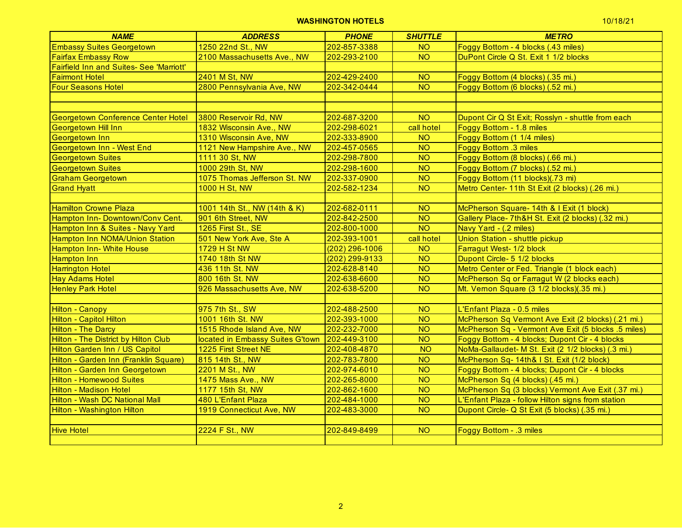# **WASHINGTON HOTELS 10/18/21 THE RESERVE OF A 41 TH RESERVE OF A 41 TH RESERVE OF A 41 TH RESERVE OF A 41 TH RESERVE OF A 41 TH RESERVE OF A 41 TH RESERVE OF A 41 TH RESERVE OF A 41 TH RESERVE OF A 41 TH RESERVE OF A 41 T**

| 10/18/21 |  |
|----------|--|
|----------|--|

| <b>NAME</b>                                     | <b>ADDRESS</b>                   | <b>PHONE</b>     | <b>SHUTTLE</b> | <b>METRO</b>                                        |
|-------------------------------------------------|----------------------------------|------------------|----------------|-----------------------------------------------------|
| <b>Embassy Suites Georgetown</b>                | 1250 22nd St., NW                | 202-857-3388     | <b>NO</b>      | Foggy Bottom - 4 blocks (.43 miles)                 |
| <b>Fairfax Embassy Row</b>                      | 2100 Massachusetts Ave., NW      | 202-293-2100     | <b>NO</b>      | DuPont Circle Q St. Exit 1 1/2 blocks               |
| <b>Fairfield Inn and Suites- See 'Marriott'</b> |                                  |                  |                |                                                     |
| <b>Fairmont Hotel</b>                           | 2401 M St, NW                    | 202-429-2400     | <b>NO</b>      | Foggy Bottom (4 blocks) (.35 mi.)                   |
| <b>Four Seasons Hotel</b>                       | 2800 Pennsylvania Ave, NW        | 202-342-0444     | N <sub>O</sub> | Foggy Bottom (6 blocks) (.52 mi.)                   |
|                                                 |                                  |                  |                |                                                     |
|                                                 |                                  |                  |                |                                                     |
| <b>Georgetown Conference Center Hotel</b>       | 3800 Reservoir Rd, NW            | 202-687-3200     | <b>NO</b>      | Dupont Cir Q St Exit; Rosslyn - shuttle from each   |
| <b>Georgetown Hill Inn</b>                      | 1832 Wisconsin Ave., NW          | 202-298-6021     | call hotel     | Foggy Bottom - 1.8 miles                            |
| Georgetown Inn                                  | 1310 Wisconsin Ave, NW           | 202-333-8900     | <b>NO</b>      | Foggy Bottom (1 1/4 miles)                          |
| Georgetown Inn - West End                       | 1121 New Hampshire Ave., NW      | 202-457-0565     | N <sub>O</sub> | <b>Foggy Bottom .3 miles</b>                        |
| <b>Georgetown Suites</b>                        | 1111 30 St, NW                   | 202-298-7800     | <b>NO</b>      | Foggy Bottom (8 blocks) (.66 mi.)                   |
| <b>Georgetown Suites</b>                        | 1000 29th St, NW                 | 202-298-1600     | <b>NO</b>      | Foggy Bottom (7 blocks) (.52 mi.)                   |
| <b>Graham Georgetown</b>                        | 1075 Thomas Jefferson St. NW     | 202-337-0900     | <b>NO</b>      | Foggy Bottom (11 blocks)(.73 mi)                    |
| <b>Grand Hyatt</b>                              | 1000 H St, NW                    | 202-582-1234     | <b>NO</b>      | Metro Center- 11th St Exit (2 blocks) (.26 mi.)     |
|                                                 |                                  |                  |                |                                                     |
| <b>Hamilton Crowne Plaza</b>                    | 1001 14th St., NW (14th & K)     | 202-682-0111     | <b>NO</b>      | McPherson Square- 14th & I Exit (1 block)           |
| Hampton Inn-Downtown/Conv Cent.                 | 901 6th Street, NW               | 202-842-2500     | <b>NO</b>      | Gallery Place- 7th&H St. Exit (2 blocks) (.32 mi.)  |
| Hampton Inn & Suites - Navy Yard                | 1265 First St., SE               | 202-800-1000     | <b>NO</b>      | Navy Yard - (.2 miles)                              |
| Hampton Inn NOMA/Union Station                  | 501 New York Ave, Ste A          | 202-393-1001     | call hotel     | Union Station - shuttle pickup                      |
| <b>Hampton Inn- White House</b>                 | <b>1729 H St NW</b>              | $(202)$ 296-1006 | <b>NO</b>      | Farragut West- 1/2 block                            |
| <b>Hampton Inn</b>                              | 1740 18th St NW                  | (202) 299-9133   | <b>NO</b>      | Dupont Circle- 5 1/2 blocks                         |
| <b>Harrington Hotel</b>                         | 436 11th St. NW                  | 202-628-8140     | <b>NO</b>      | Metro Center or Fed. Triangle (1 block each)        |
| <b>Hay Adams Hotel</b>                          | 800 16th St. NW                  | 202-638-6600     | <b>NO</b>      | McPherson Sq or Farragut W (2 blocks each)          |
| <b>Henley Park Hotel</b>                        | 926 Massachusetts Ave, NW        | 202-638-5200     | N <sub>O</sub> | Mt. Vernon Square (3 1/2 blocks)(.35 mi.)           |
|                                                 |                                  |                  |                |                                                     |
| <b>Hilton - Canopy</b>                          | 975 7th St., SW                  | 202-488-2500     | <b>NO</b>      | L'Enfant Plaza - 0.5 miles                          |
| Hilton - Capitol Hilton                         | 1001 16th St. NW                 | 202-393-1000     | <b>NO</b>      | McPherson Sq Vermont Ave Exit (2 blocks) (.21 mi.)  |
| <b>Hilton - The Darcy</b>                       | 1515 Rhode Island Ave, NW        | 202-232-7000     | <b>NO</b>      | McPherson Sq - Vermont Ave Exit (5 blocks .5 miles) |
| <b>Hilton - The District by Hilton Club</b>     | located in Embassy Suites G'town | 202-449-3100     | N <sub>O</sub> | Foggy Bottom - 4 blocks; Dupont Cir - 4 blocks      |
| <b>Hilton Garden Inn / US Capitol</b>           | 1225 First Street NE             | 202-408-4870     | N <sub>O</sub> | NoMa-Gallaudet- M St. Exit (2 1/2 blocks) (.3 mi.)  |
| Hilton - Garden Inn (Franklin Square)           | 815 14th St., NW                 | 202-783-7800     | <b>NO</b>      | McPherson Sq- 14th& I St. Exit (1/2 block)          |
| Hilton - Garden Inn Georgetown                  | 2201 M St., NW                   | 202-974-6010     | <b>NO</b>      | Foggy Bottom - 4 blocks; Dupont Cir - 4 blocks      |
| <b>Hilton - Homewood Suites</b>                 | 1475 Mass Ave., NW               | 202-265-8000     | N <sub>O</sub> | McPherson Sq (4 blocks) (.45 mi.)                   |
| <b>Hilton - Madison Hotel</b>                   | 1177 15th St, NW                 | 202-862-1600     | <b>NO</b>      | McPherson Sq (3 blocks) Vermont Ave Exit (.37 mi.)  |
| <b>Hilton - Wash DC National Mall</b>           | 480 L'Enfant Plaza               | 202-484-1000     | <b>NO</b>      | L'Enfant Plaza - follow Hilton signs from station   |
| Hilton - Washington Hilton                      | 1919 Connecticut Ave, NW         | 202-483-3000     | <b>NO</b>      | Dupont Circle- Q St Exit (5 blocks) (.35 mi.)       |
|                                                 |                                  |                  |                |                                                     |
| <b>Hive Hotel</b>                               | 2224 F St., NW                   | 202-849-8499     | <b>NO</b>      | Foggy Bottom - .3 miles                             |
|                                                 |                                  |                  |                |                                                     |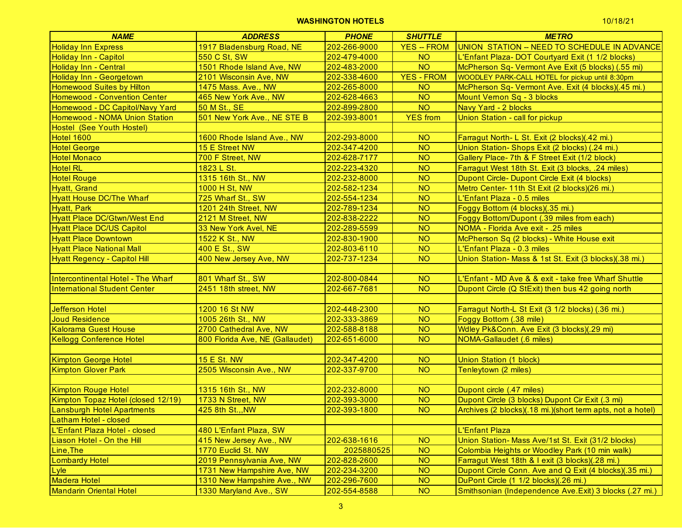| <b>NAME</b>                         | <b>ADDRESS</b>                  | <b>PHONE</b> | <b>SHUTTLE</b>    | <b>METRO</b>                                               |
|-------------------------------------|---------------------------------|--------------|-------------------|------------------------------------------------------------|
| <b>Holiday Inn Express</b>          | 1917 Bladensburg Road, NE       | 202-266-9000 | <b>YES - FROM</b> | <b>UNION STATION - NEED TO SCHEDULE IN ADVANCE</b>         |
| <b>Holiday Inn - Capitol</b>        | 550 C St, SW                    | 202-479-4000 | <b>NO</b>         | L'Enfant Plaza- DOT Courtyard Exit (1 1/2 blocks)          |
| <b>Holiday Inn - Central</b>        | 1501 Rhode Island Ave, NW       | 202-483-2000 | <b>NO</b>         | McPherson Sq- Vermont Ave Exit (5 blocks) (.55 mi)         |
| <b>Holiday Inn - Georgetown</b>     | 2101 Wisconsin Ave, NW          | 202-338-4600 | <b>YES - FROM</b> | WOODLEY PARK-CALL HOTEL for pickup until 8:30pm            |
| <b>Homewood Suites by Hilton</b>    | 1475 Mass. Ave., NW             | 202-265-8000 | <b>NO</b>         | McPherson Sq- Vermont Ave. Exit (4 blocks)(.45 mi.)        |
| <b>Homewood - Convention Center</b> | 465 New York Ave., NW           | 202-628-4663 | <b>NO</b>         | Mount Vernon Sq - 3 blocks                                 |
| Homewood - DC Capitol/Navy Yard     | 50 M St., SE                    | 202-899-2800 | <b>NO</b>         | Navy Yard - 2 blocks                                       |
| Homewood - NOMA Union Station       | 501 New York Ave., NE STE B     | 202-393-8001 | <b>YES</b> from   | Union Station - call for pickup                            |
| Hostel (See Youth Hostel)           |                                 |              |                   |                                                            |
| <b>Hotel 1600</b>                   | 1600 Rhode Island Ave., NW      | 202-293-8000 | <b>NO</b>         | Farragut North- L St. Exit (2 blocks)(.42 mi.)             |
| <b>Hotel George</b>                 | 15 E Street NW                  | 202-347-4200 | <b>NO</b>         | Union Station- Shops Exit (2 blocks) (.24 mi.)             |
| <b>Hotel Monaco</b>                 | 700 F Street, NW                | 202-628-7177 | <b>NO</b>         | Gallery Place- 7th & F Street Exit (1/2 block)             |
| <b>Hotel RL</b>                     | 1823 L St.                      | 202-223-4320 | <b>NO</b>         | Farragut West 18th St. Exit (3 blocks, .24 miles)          |
| <b>Hotel Rouge</b>                  | 1315 16th St., NW               | 202-232-8000 | <b>NO</b>         | Dupont Circle- Dupont Circle Exit (4 blocks)               |
| Hyatt, Grand                        | 1000 H St, NW                   | 202-582-1234 | <b>NO</b>         | Metro Center- 11th St Exit (2 blocks)(26 mi.)              |
| <b>Hyatt House DC/The Wharf</b>     | 725 Wharf St., SW               | 202-554-1234 | <b>NO</b>         | L'Enfant Plaza - 0.5 miles                                 |
| <b>Hyatt, Park</b>                  | 1201 24th Street, NW            | 202-789-1234 | <b>NO</b>         | Foggy Bottom (4 blocks)(.35 mi.)                           |
| <b>Hyatt Place DC/Gtwn/West End</b> | 2121 M Street, NW               | 202-838-2222 | <b>NO</b>         | Foggy Bottom/Dupont (.39 miles from each)                  |
| <b>Hyatt Place DC/US Capitol</b>    | 33 New York Avel, NE            | 202-289-5599 | <b>NO</b>         | NOMA - Florida Ave exit - .25 miles                        |
| <b>Hyatt Place Downtown</b>         | 1522 K St., NW                  | 202-830-1900 | <b>NO</b>         | McPherson Sq (2 blocks) - White House exit                 |
| <b>Hyatt Place National Mall</b>    | 400 E St., SW                   | 202-803-6110 | <b>NO</b>         | L'Enfant Plaza - 0.3 miles                                 |
| <b>Hyatt Regency - Capitol Hill</b> | 400 New Jersey Ave, NW          | 202-737-1234 | <b>NO</b>         | Union Station- Mass & 1st St. Exit (3 blocks)(.38 mi.)     |
|                                     |                                 |              |                   |                                                            |
| Intercontinental Hotel - The Wharf  | 801 Wharf St., SW               | 202-800-0844 | <b>NO</b>         | L'Enfant - MD Ave & & exit - take free Wharf Shuttle       |
| <b>International Student Center</b> | 2451 18th street, NW            | 202-667-7681 | N <sub>O</sub>    | Dupont Circle (Q StExit) then bus 42 going north           |
|                                     |                                 |              |                   |                                                            |
| <b>Jefferson Hotel</b>              | 1200 16 St NW                   | 202-448-2300 | <b>NO</b>         | Farragut North-L St Exit (3 1/2 blocks) (.36 mi.)          |
| Joud Residence                      | 1005 26th St., NW               | 202-333-3869 | <b>NO</b>         | Foggy Bottom (.38 mile)                                    |
| <b>Kalorama Guest House</b>         | 2700 Cathedral Ave, NW          | 202-588-8188 | <b>NO</b>         | Wdley Pk&Conn. Ave Exit (3 blocks)(.29 mi)                 |
| <b>Kellogg Conference Hotel</b>     | 800 Florida Ave, NE (Gallaudet) | 202-651-6000 | <b>NO</b>         | <b>NOMA-Gallaudet (.6 miles)</b>                           |
|                                     |                                 |              |                   |                                                            |
| <b>Kimpton George Hotel</b>         | <b>15 E St. NW</b>              | 202-347-4200 | <b>NO</b>         | <b>Union Station (1 block)</b>                             |
| <b>Kimpton Glover Park</b>          | 2505 Wisconsin Ave., NW         | 202-337-9700 | <b>NO</b>         | Tenleytown (2 miles)                                       |
|                                     |                                 |              |                   |                                                            |
| <b>Kimpton Rouge Hotel</b>          | 1315 16th St., NW               | 202-232-8000 | <b>NO</b>         | Dupont circle (.47 miles)                                  |
| Kimpton Topaz Hotel (closed 12/19)  | 1733 N Street, NW               | 202-393-3000 | <b>NO</b>         | Dupont Circle (3 blocks) Dupont Cir Exit (.3 mi)           |
| <b>Lansburgh Hotel Apartments</b>   | 425 8th St.,, NW                | 202-393-1800 | <b>NO</b>         | Archives (2 blocks)(.18 mi.)(short term apts, not a hotel) |
| Latham Hotel - closed               |                                 |              |                   |                                                            |
| L'Enfant Plaza Hotel - closed       | 480 L'Enfant Plaza, SW          |              |                   | L'Enfant Plaza                                             |
| Liason Hotel - On the Hill          | 415 New Jersey Ave., NW         | 202-638-1616 | <b>NO</b>         | Union Station- Mass Ave/1st St. Exit (31/2 blocks)         |
| Line, The                           | 1770 Euclid St. NW              | 2025880525   | <b>NO</b>         | Colombia Heights or Woodley Park (10 min walk)             |
| <b>Lombardy Hotel</b>               | 2019 Pennsylvania Ave, NW       | 202-828-2600 | <b>NO</b>         | Farragut West 18th & I exit (3 blocks)(.28 mi.)            |
| Lyle                                | 1731 New Hampshire Ave, NW      | 202-234-3200 | <b>NO</b>         | Dupont Circle Conn. Ave and Q Exit (4 blocks)(.35 mi.)     |
| Madera Hotel                        | 1310 New Hampshire Ave., NW     | 202-296-7600 | <b>NO</b>         | DuPont Circle (1 1/2 blocks)(.26 mi.)                      |
| Mandarin Oriental Hotel             | 1330 Maryland Ave., SW          | 202-554-8588 | <b>NO</b>         | Smithsonian (Independence Ave.Exit) 3 blocks (.27 mi.)     |
|                                     |                                 |              |                   |                                                            |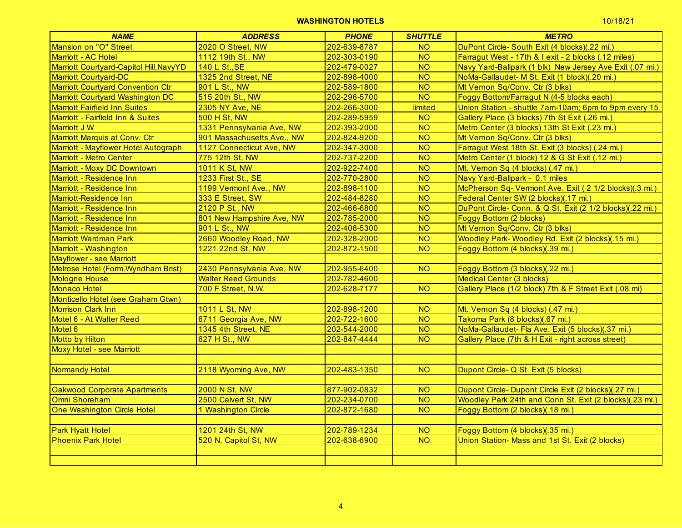| <b>NAME</b>                              | <b>ADDRESS</b>             | <b>PHONE</b> | <b>SHUTTLE</b> | <b>METRO</b>                                             |
|------------------------------------------|----------------------------|--------------|----------------|----------------------------------------------------------|
| Mansion on "O" Street                    | 2020 O Street, NW          | 202-639-8787 | <b>NO</b>      | DuPont Circle- South Exit (4 blocks)(.22 mi.)            |
| Marriott - AC Hotel                      | 1112 19th St., NW          | 202-303-0190 | <b>NO</b>      | Farragut West - 17th & I exit - 2 blocks (.12 miles)     |
| Marriott Courtyard-Capitol Hill, NavyYD  | 140 L St., SE              | 202-479-0027 | <b>NO</b>      | Navy Yard-Ballpark (1 blk) New Jersey Ave Exit (.07 mi.) |
| <b>Marriott Courtyard-DC</b>             | 1325 2nd Street, NE        | 202-898-4000 | <b>NO</b>      | NoMa-Gallaudet- M St. Exit (1 block)(.20 mi.)            |
| <b>Marriott Courtyard Convention Ctr</b> | 901 L St., NW              | 202-589-1800 | N <sub>O</sub> | Mt Vernon Sq/Conv. Ctr (3 blks)                          |
| Marriott Courtyard Washington DC         | 515 20th St., NW           | 202-296-5700 | <b>NO</b>      | Foggy Bottom/Farragut N (4-5 blocks each)                |
| <b>Marriott Fairfield Inn Suites</b>     | 2305 NY Ave, NE            | 202-266-3000 | limited        | Union Station - shuttle 7am-10am; 6pm to 9pm every 15    |
| Marriott - Fairfield Inn & Suites        | <b>500 H St, NW</b>        | 202-289-5959 | <b>NO</b>      | Gallery Place (3 blocks) 7th St Exit (.26 mi.)           |
| Marriott J W                             | 1331 Pennsylvania Ave, NW  | 202-393-2000 | <b>NO</b>      | Metro Center (3 blocks) 13th St Exit (.23 mi.)           |
| Marriott Marquis at Conv. Ctr            | 901 Massachusetts Ave., NW | 202-824-9200 | N <sub>O</sub> | Mt Vernon Sq/Conv. Ctr (3 blks)                          |
| Marriott - Mayflower Hotel Autograph     | 1127 Connecticut Ave, NW   | 202-347-3000 | <b>NO</b>      | Farragut West 18th St. Exit (3 blocks) (.24 mi.)         |
| <b>Marriott - Metro Center</b>           | 775 12th St, NW            | 202-737-2200 | <b>NO</b>      | Metro Center (1 block) 12 & G St Exit (.12 mi.)          |
| Marriott - Moxy DC Downtown              | 1011 K St, NW              | 202-922-7400 | <b>NO</b>      | Mt. Vernon Sq (4 blocks) (.47 mi.)                       |
| Marriott - Residence Inn                 | 1233 First St., SE         | 202-770-2800 | <b>NO</b>      | Navy Yard-Ballpark - 0.1 miles                           |
| Marriott - Residence Inn                 | 1199 Vermont Ave., NW      | 202-898-1100 | N <sub>O</sub> | McPherson Sq- Vermont Ave. Exit (2 1/2 blocks)(.3 mi.)   |
| Marriott-Residence Inn                   | 333 E Street, SW           | 202-484-8280 | N <sub>O</sub> | Federal Center SW (2 blocks)(.17 mi.)                    |
| Marriott - Residence Inn                 | 2120 P St., NW             | 202-466-6800 | <b>NO</b>      | DuPont Circle-Conn. & Q St. Exit (2 1/2 blocks)(.22 mi.) |
| Marriott - Residence Inn                 | 801 New Hampshire Ave, NW  | 202-785-2000 | <b>NO</b>      | <b>Foggy Bottom (2 blocks)</b>                           |
| Marriott - Residence Inn                 | 901 L St., NW              | 202-408-5300 | <b>NO</b>      | Mt Vernon Sq/Conv. Ctr (3 blks)                          |
| <b>Marriott Wardman Park</b>             | 2660 Woodley Road, NW      | 202-328-2000 | <b>NO</b>      | Woodley Park- Woodley Rd. Exit (2 blocks)(.15 mi.)       |
| Marriott - Washington                    | 1221 22nd St, NW           | 202-872-1500 | <b>NO</b>      | Foggy Bottom (4 blocks)(.39 mi.)                         |
| <b>Mayflower - see Marriott</b>          |                            |              |                |                                                          |
| Melrose Hotel (Form. Wyndham Brist)      | 2430 Pennsylvania Ave, NW  | 202-955-6400 | <b>NO</b>      | Foggy Bottom (3 blocks)(.22 mi.)                         |
| <b>Mologne House</b>                     | <b>Walter Reed Grounds</b> | 202-782-4600 |                | <b>Medical Center (3 blocks)</b>                         |
| <b>Monaco Hotel</b>                      | 700 F Street, N.W.         | 202-628-7177 | N <sub>O</sub> | Gallery Place (1/2 block) 7th & F Street Exit (.08 mi)   |
| Monticello Hotel (see Graham Gtwn)       |                            |              |                |                                                          |
| <b>Morrison Clark Inn</b>                | 1011 L St, NW              | 202-898-1200 | <b>NO</b>      | Mt. Vernon Sq (4 blocks) (.47 mi.)                       |
| Motel 6 - At Walter Reed                 | 6711 Georgia Ave, NW       | 202-722-1600 | <b>NO</b>      | Takoma Park (8 blocks)(.67 mi.)                          |
| Motel 6                                  | 1345 4th Street, NE        | 202-544-2000 | <b>NO</b>      | NoMa-Gallaudet- Fla Ave. Exit (5 blocks)(.37 mi.)        |
| Motto by Hilton                          | 627 H St., NW              | 202-847-4444 | <b>NO</b>      | Gallery Place (7th & H Exit - right across street)       |
| <b>Moxy Hotel - see Marriott</b>         |                            |              |                |                                                          |
|                                          |                            |              |                |                                                          |
| <b>Normandy Hotel</b>                    | 2118 Wyoming Ave, NW       | 202-483-1350 | <b>NO</b>      | Dupont Circle- Q St. Exit (5 blocks)                     |
|                                          |                            |              |                |                                                          |
| <b>Oakwood Corporate Apartments</b>      | <b>2000 N St. NW</b>       | 877-902-0832 | <b>NO</b>      | Dupont Circle-Dupont Circle Exit (2 blocks)(.27 mi.)     |
| Omni Shoreham                            | 2500 Calvert St, NW        | 202-234-0700 | <b>NO</b>      | Woodley Park 24th and Conn St. Exit (2 blocks)(.23 mi.)  |
| <b>One Washington Circle Hotel</b>       | 1 Washington Circle        | 202-872-1680 | <b>NO</b>      | Foggy Bottom (2 blocks)(.18 mi.)                         |
|                                          |                            |              |                |                                                          |
| <b>Park Hyatt Hotel</b>                  | 1201 24th St, NW           | 202-789-1234 | <b>NO</b>      | Foggy Bottom (4 blocks)(.35 mi.)                         |
| <b>Phoenix Park Hotel</b>                | 520 N. Capitol St, NW      | 202-638-6900 | N <sub>O</sub> | Union Station- Mass and 1st St. Exit (2 blocks)          |
|                                          |                            |              |                |                                                          |
|                                          |                            |              |                |                                                          |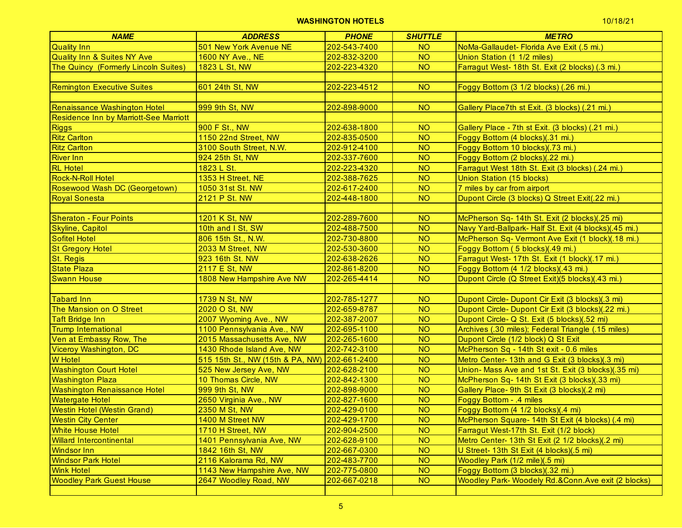| <b>NAME</b>                            | <b>ADDRESS</b>                                | <b>PHONE</b> | <b>SHUTTLE</b> | <b>METRO</b>                                          |
|----------------------------------------|-----------------------------------------------|--------------|----------------|-------------------------------------------------------|
| <b>Quality Inn</b>                     | 501 New York Avenue NE                        | 202-543-7400 | <b>NO</b>      | NoMa-Gallaudet- Florida Ave Exit (.5 mi.)             |
| Quality Inn & Suites NY Ave            | 1600 NY Ave., NE                              | 202-832-3200 | <b>NO</b>      | Union Station (1 1/2 miles)                           |
| The Quincy (Formerly Lincoln Suites)   | 1823 L St, NW                                 | 202-223-4320 | <b>NO</b>      | Farragut West- 18th St. Exit (2 blocks) (.3 mi.)      |
|                                        |                                               |              |                |                                                       |
| <b>Remington Executive Suites</b>      | 601 24th St, NW                               | 202-223-4512 | <b>NO</b>      | Foggy Bottom (3 1/2 blocks) (.26 mi.)                 |
|                                        |                                               |              |                |                                                       |
| Renaissance Washington Hotel           | 999 9th St, NW                                | 202-898-9000 | <b>NO</b>      | Gallery Place7th st Exit. (3 blocks) (.21 mi.)        |
| Residence Inn by Marriott-See Marriott |                                               |              |                |                                                       |
| <b>Riggs</b>                           | 900 F St., NW                                 | 202-638-1800 | <b>NO</b>      | Gallery Place - 7th st Exit. (3 blocks) (.21 mi.)     |
| <b>Ritz Carlton</b>                    | 1150 22nd Street, NW                          | 202-835-0500 | <b>NO</b>      | Foggy Bottom (4 blocks)(.31 mi.)                      |
| <b>Ritz Carlton</b>                    | 3100 South Street, N.W.                       | 202-912-4100 | <b>NO</b>      | Foggy Bottom 10 blocks)(.73 mi.)                      |
| <b>River Inn</b>                       | 924 25th St, NW                               | 202-337-7600 | <b>NO</b>      | Foggy Bottom (2 blocks)(.22 mi.)                      |
| <b>RL</b> Hotel                        | 1823 L St.                                    | 202-223-4320 | <b>NO</b>      | Farragut West 18th St. Exit (3 blocks) (.24 mi.)      |
| <b>Rock-N-Roll Hotel</b>               | 1353 H Street, NE                             | 202-388-7625 | <b>NO</b>      | Union Station (15 blocks)                             |
| Rosewood Wash DC (Georgetown)          | 1050 31st St. NW                              | 202-617-2400 | <b>NO</b>      | 7 miles by car from airport                           |
| <b>Royal Sonesta</b>                   | 2121 P St. NW                                 | 202-448-1800 | <b>NO</b>      | Dupont Circle (3 blocks) Q Street Exit(.22 mi.)       |
|                                        |                                               |              |                |                                                       |
| <b>Sheraton - Four Points</b>          | 1201 K St, NW                                 | 202-289-7600 | <b>NO</b>      | McPherson Sq- 14th St. Exit (2 blocks)(.25 mi)        |
| Skyline, Capitol                       | 10th and I St, SW                             | 202-488-7500 | <b>NO</b>      | Navy Yard-Ballpark- Half St. Exit (4 blocks)(.45 mi.) |
| Sofitel Hotel                          | 806 15th St., N.W.                            | 202-730-8800 | <b>NO</b>      | McPherson Sq- Vermont Ave Exit (1 block)(.18 mi.)     |
| <b>St Gregory Hotel</b>                | 2033 M Street, NW                             | 202-530-3600 | <b>NO</b>      | Foggy Bottom (5 blocks)(.49 mi.)                      |
| <b>St. Regis</b>                       | 923 16th St. NW                               | 202-638-2626 | <b>NO</b>      | Farragut West- 17th St. Exit (1 block)(.17 mi.)       |
| <b>State Plaza</b>                     | 2117 E St, NW                                 | 202-861-8200 | <b>NO</b>      | Foggy Bottom (4 1/2 blocks)(.43 mi.)                  |
| <b>Swann House</b>                     | 1808 New Hampshire Ave NW                     | 202-265-4414 | <b>NO</b>      | Dupont Circle (Q Street Exit)(5 blocks)(.43 mi.)      |
|                                        |                                               |              |                |                                                       |
| Tabard Inn                             | 1739 N St, NW                                 | 202-785-1277 | <b>NO</b>      | Dupont Circle- Dupont Cir Exit (3 blocks)(.3 mi)      |
| The Mansion on O Street                | 2020 O St, NW                                 | 202-659-8787 | <b>NO</b>      | Dupont Circle- Dupont Cir Exit (3 blocks)(.22 mi.)    |
| <b>Taft Bridge Inn</b>                 | 2007 Wyoming Ave., NW                         | 202-387-2007 | <b>NO</b>      | Dupont Circle- Q St. Exit (5 blocks)(.52 mi)          |
| <b>Trump International</b>             | 1100 Pennsylvania Ave., NW                    | 202-695-1100 | <b>NO</b>      | Archives (.30 miles); Federal Triangle (.15 miles)    |
| Ven at Embassy Row, The                | 2015 Massachusetts Ave, NW                    | 202-265-1600 | <b>NO</b>      | Dupont Circle (1/2 block) Q St Exit                   |
| <b>Viceroy Washington, DC</b>          | 1430 Rhode Island Ave, NW                     | 202-742-3100 | <b>NO</b>      | McPherson Sq - 14th St exit - 0.6 miles               |
| <b>W</b> Hotel                         | 515 15th St., NW (15th & PA, NW) 202-661-2400 |              | <b>NO</b>      | Metro Center- 13th and G Exit (3 blocks)(.3 mi)       |
| <b>Washington Court Hotel</b>          | 525 New Jersey Ave, NW                        | 202-628-2100 | <b>NO</b>      | Union- Mass Ave and 1st St. Exit (3 blocks)(.35 mi)   |
| <b>Washington Plaza</b>                | 10 Thomas Circle, NW                          | 202-842-1300 | <b>NO</b>      | McPherson Sq- 14th St Exit (3 blocks)(.33 mi)         |
| <b>Washington Renaissance Hotel</b>    | 999 9th St, NW                                | 202-898-9000 | <b>NO</b>      | Gallery Place- 9th St Exit (3 blocks)(.2 mi)          |
| <b>Watergate Hotel</b>                 | 2650 Virginia Ave., NW                        | 202-827-1600 | <b>NO</b>      | Foggy Bottom - .4 miles                               |
| <b>Westin Hotel (Westin Grand)</b>     | 2350 M St, NW                                 | 202-429-0100 | <b>NO</b>      | Foggy Bottom (4 1/2 blocks)(.4 mi)                    |
| <b>Westin City Center</b>              | 1400 M Street NW                              | 202-429-1700 | N <sub>O</sub> | McPherson Square- 14th St Exit (4 blocks) (.4 mi)     |
| <b>White House Hotel</b>               | 1710 H Street, NW                             | 202-904-2500 | <b>NO</b>      | Farragut West-17th St. Exit (1/2 block)               |
| <b>Willard Intercontinental</b>        | 1401 Pennsylvania Ave, NW                     | 202-628-9100 | <b>NO</b>      | Metro Center- 13th St Exit (2 1/2 blocks)(.2 mi)      |
| <b>Windsor Inn</b>                     | 1842 16th St, NW                              | 202-667-0300 | <b>NO</b>      | U Street- 13th St Exit (4 blocks)(.5 mi)              |
| <b>Windsor Park Hotel</b>              | 2116 Kalorama Rd, NW                          | 202-483-7700 | <b>NO</b>      | Woodley Park (1/2 mile)(.5 mi)                        |
| <b>Wink Hotel</b>                      | 1143 New Hampshire Ave, NW                    | 202-775-0800 | <b>NO</b>      | Foggy Bottom (3 blocks)(.32 mi.)                      |
| <b>Woodley Park Guest House</b>        | 2647 Woodley Road, NW                         | 202-667-0218 | <b>NO</b>      | Woodley Park- Woodely Rd.&Conn.Ave exit (2 blocks)    |
|                                        |                                               |              |                |                                                       |